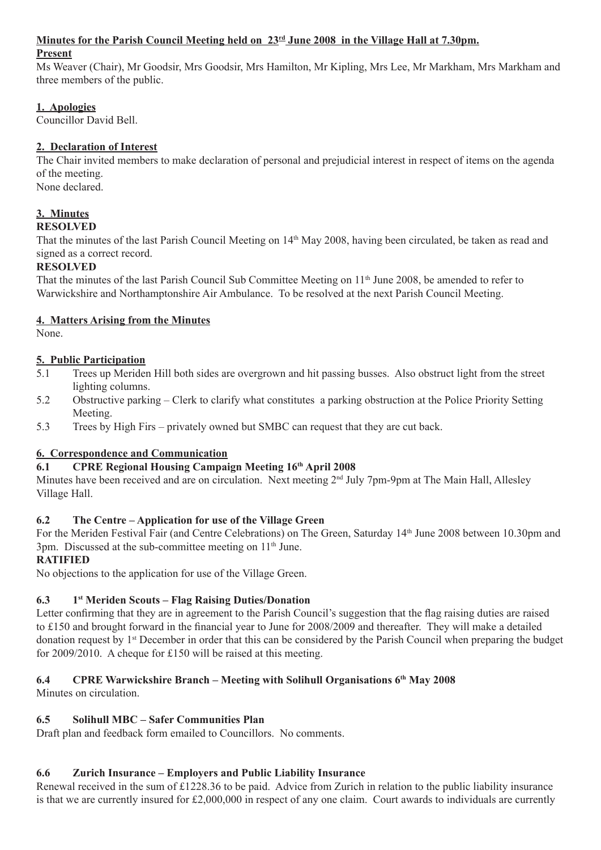# **Minutes for the Parish Council Meeting held on 23rd June 2008 in the Village Hall at 7.30pm.**

#### **Present**

Ms Weaver (Chair), Mr Goodsir, Mrs Goodsir, Mrs Hamilton, Mr Kipling, Mrs Lee, Mr Markham, Mrs Markham and three members of the public.

# **1. Apologies**

Councillor David Bell.

# **2. Declaration of Interest**

The Chair invited members to make declaration of personal and prejudicial interest in respect of items on the agenda of the meeting. None declared.

# **3. Minutes**

# **RESOLVED**

That the minutes of the last Parish Council Meeting on 14<sup>th</sup> May 2008, having been circulated, be taken as read and signed as a correct record.

# **RESOLVED**

That the minutes of the last Parish Council Sub Committee Meeting on  $11<sup>th</sup>$  June 2008, be amended to refer to Warwickshire and Northamptonshire Air Ambulance. To be resolved at the next Parish Council Meeting.

# **4. Matters Arising from the Minutes**

None.

# **5. Public Participation**

- 5.1 Trees up Meriden Hill both sides are overgrown and hit passing busses. Also obstruct light from the street lighting columns.
- 5.2 Obstructive parking Clerk to clarify what constitutes a parking obstruction at the Police Priority Setting Meeting.
- 5.3 Trees by High Firs privately owned but SMBC can request that they are cut back.

#### **6. Correspondence and Communication**

# **6.1 CPRE Regional Housing Campaign Meeting 16th April 2008**

Minutes have been received and are on circulation. Next meeting 2<sup>nd</sup> July 7pm-9pm at The Main Hall, Allesley Village Hall.

#### **6.2 The Centre – Application for use of the Village Green**

For the Meriden Festival Fair (and Centre Celebrations) on The Green, Saturday 14<sup>th</sup> June 2008 between 10.30pm and 3pm. Discussed at the sub-committee meeting on 11<sup>th</sup> June.

# **RATIFIED**

No objections to the application for use of the Village Green.

#### **6.3 1st Meriden Scouts – Flag Raising Duties/Donation**

Letter confirming that they are in agreement to the Parish Council's suggestion that the flag raising duties are raised to £150 and brought forward in the financial year to June for 2008/2009 and thereafter. They will make a detailed donation request by 1st December in order that this can be considered by the Parish Council when preparing the budget for 2009/2010. A cheque for £150 will be raised at this meeting.

# **6.4 CPRE Warwickshire Branch – Meeting with Solihull Organisations 6th May 2008**

Minutes on circulation.

#### **6.5 Solihull MBC – Safer Communities Plan**

Draft plan and feedback form emailed to Councillors. No comments.

#### **6.6 Zurich Insurance – Employers and Public Liability Insurance**

Renewal received in the sum of £1228.36 to be paid. Advice from Zurich in relation to the public liability insurance is that we are currently insured for £2,000,000 in respect of any one claim. Court awards to individuals are currently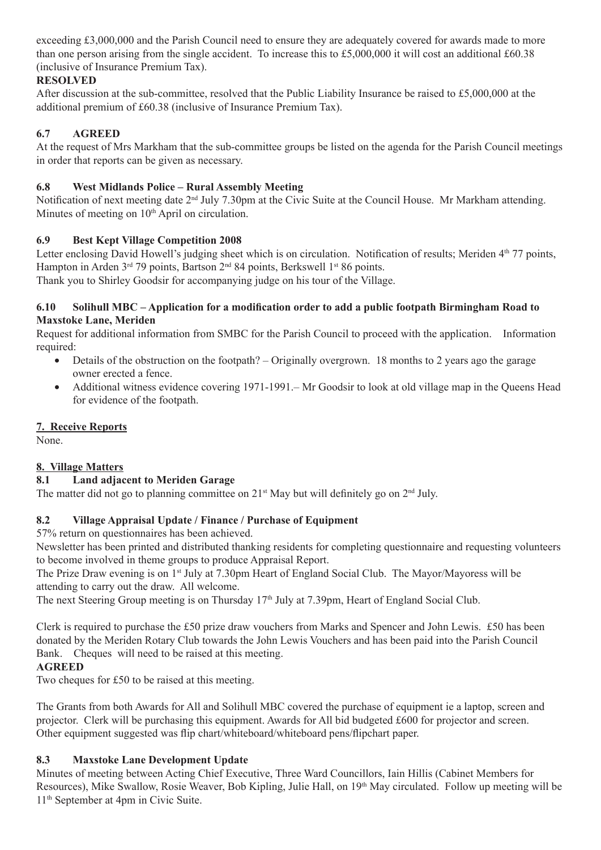exceeding £3,000,000 and the Parish Council need to ensure they are adequately covered for awards made to more than one person arising from the single accident. To increase this to  $£5,000,000$  it will cost an additional  $£60.38$ (inclusive of Insurance Premium Tax).

# **RESOLVED**

After discussion at the sub-committee, resolved that the Public Liability Insurance be raised to £5,000,000 at the additional premium of £60.38 (inclusive of Insurance Premium Tax).

# **6.7 AGREED**

At the request of Mrs Markham that the sub-committee groups be listed on the agenda for the Parish Council meetings in order that reports can be given as necessary.

# **6.8 West Midlands Police – Rural Assembly Meeting**

Notification of next meeting date 2nd July 7.30pm at the Civic Suite at the Council House. Mr Markham attending. Minutes of meeting on  $10<sup>th</sup>$  April on circulation.

# **6.9 Best Kept Village Competition 2008**

Letter enclosing David Howell's judging sheet which is on circulation. Notification of results; Meriden 4<sup>th</sup> 77 points, Hampton in Arden  $3<sup>rd</sup>$  79 points, Bartson  $2<sup>nd</sup>$  84 points, Berkswell 1<sup>st</sup> 86 points.

Thank you to Shirley Goodsir for accompanying judge on his tour of the Village.

#### **6.10 Solihull MBC – Application for a modification order to add a public footpath Birmingham Road to Maxstoke Lane, Meriden**

Request for additional information from SMBC for the Parish Council to proceed with the application. Information required:

- Details of the obstruction on the footpath? Originally overgrown. 18 months to 2 years ago the garage owner erected a fence.
- Additional witness evidence covering 1971-1991. Mr Goodsir to look at old village map in the Queens Head for evidence of the footpath.

#### **7. Receive Reports**

None.

# **8. Village Matters**

#### **8.1 Land adjacent to Meriden Garage**

The matter did not go to planning committee on  $21<sup>st</sup>$  May but will definitely go on  $2<sup>nd</sup>$  July.

#### **8.2 Village Appraisal Update / Finance / Purchase of Equipment**

57% return on questionnaires has been achieved.

Newsletter has been printed and distributed thanking residents for completing questionnaire and requesting volunteers to become involved in theme groups to produce Appraisal Report.

The Prize Draw evening is on 1st July at 7.30pm Heart of England Social Club. The Mayor/Mayoress will be attending to carry out the draw. All welcome.

The next Steering Group meeting is on Thursday 17<sup>th</sup> July at 7.39pm, Heart of England Social Club.

Clerk is required to purchase the £50 prize draw vouchers from Marks and Spencer and John Lewis. £50 has been donated by the Meriden Rotary Club towards the John Lewis Vouchers and has been paid into the Parish Council Bank. Cheques will need to be raised at this meeting.

#### **AGREED**

Two cheques for £50 to be raised at this meeting.

The Grants from both Awards for All and Solihull MBC covered the purchase of equipment ie a laptop, screen and projector. Clerk will be purchasing this equipment. Awards for All bid budgeted £600 for projector and screen. Other equipment suggested was flip chart/whiteboard/whiteboard pens/flipchart paper.

# **8.3 Maxstoke Lane Development Update**

Minutes of meeting between Acting Chief Executive, Three Ward Councillors, Iain Hillis (Cabinet Members for Resources), Mike Swallow, Rosie Weaver, Bob Kipling, Julie Hall, on 19th May circulated. Follow up meeting will be 11th September at 4pm in Civic Suite.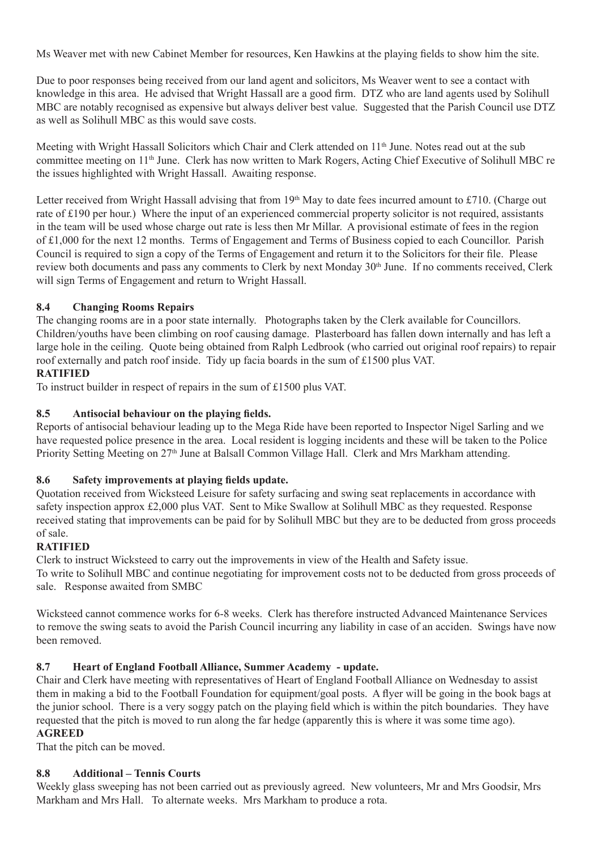Ms Weaver met with new Cabinet Member for resources, Ken Hawkins at the playing fields to show him the site.

Due to poor responses being received from our land agent and solicitors, Ms Weaver went to see a contact with knowledge in this area. He advised that Wright Hassall are a good firm. DTZ who are land agents used by Solihull MBC are notably recognised as expensive but always deliver best value. Suggested that the Parish Council use DTZ as well as Solihull MBC as this would save costs.

Meeting with Wright Hassall Solicitors which Chair and Clerk attended on 11<sup>th</sup> June. Notes read out at the sub committee meeting on 11<sup>th</sup> June. Clerk has now written to Mark Rogers, Acting Chief Executive of Solihull MBC re the issues highlighted with Wright Hassall. Awaiting response.

Letter received from Wright Hassall advising that from  $19<sup>th</sup>$  May to date fees incurred amount to £710. (Charge out rate of £190 per hour.) Where the input of an experienced commercial property solicitor is not required, assistants in the team will be used whose charge out rate is less then Mr Millar. A provisional estimate of fees in the region of £1,000 for the next 12 months. Terms of Engagement and Terms of Business copied to each Councillor. Parish Council is required to sign a copy of the Terms of Engagement and return it to the Solicitors for their file. Please review both documents and pass any comments to Clerk by next Monday 30<sup>th</sup> June. If no comments received, Clerk will sign Terms of Engagement and return to Wright Hassall.

# **8.4 Changing Rooms Repairs**

The changing rooms are in a poor state internally. Photographs taken by the Clerk available for Councillors. Children/youths have been climbing on roof causing damage. Plasterboard has fallen down internally and has left a large hole in the ceiling. Quote being obtained from Ralph Ledbrook (who carried out original roof repairs) to repair roof externally and patch roof inside. Tidy up facia boards in the sum of £1500 plus VAT.

# **RATIFIED**

To instruct builder in respect of repairs in the sum of £1500 plus VAT.

# **8.5 Antisocial behaviour on the playing fields.**

Reports of antisocial behaviour leading up to the Mega Ride have been reported to Inspector Nigel Sarling and we have requested police presence in the area. Local resident is logging incidents and these will be taken to the Police Priority Setting Meeting on 27<sup>th</sup> June at Balsall Common Village Hall. Clerk and Mrs Markham attending.

#### **8.6 Safety improvements at playing fields update.**

Quotation received from Wicksteed Leisure for safety surfacing and swing seat replacements in accordance with safety inspection approx £2,000 plus VAT. Sent to Mike Swallow at Solihull MBC as they requested. Response received stating that improvements can be paid for by Solihull MBC but they are to be deducted from gross proceeds of sale.

#### **RATIFIED**

Clerk to instruct Wicksteed to carry out the improvements in view of the Health and Safety issue. To write to Solihull MBC and continue negotiating for improvement costs not to be deducted from gross proceeds of sale. Response awaited from SMBC

Wicksteed cannot commence works for 6-8 weeks. Clerk has therefore instructed Advanced Maintenance Services to remove the swing seats to avoid the Parish Council incurring any liability in case of an acciden. Swings have now been removed.

#### **8.7 Heart of England Football Alliance, Summer Academy - update.**

Chair and Clerk have meeting with representatives of Heart of England Football Alliance on Wednesday to assist them in making a bid to the Football Foundation for equipment/goal posts. A flyer will be going in the book bags at the junior school. There is a very soggy patch on the playing field which is within the pitch boundaries. They have requested that the pitch is moved to run along the far hedge (apparently this is where it was some time ago).

#### **AGREED**

That the pitch can be moved.

#### **8.8 Additional – Tennis Courts**

Weekly glass sweeping has not been carried out as previously agreed. New volunteers, Mr and Mrs Goodsir, Mrs Markham and Mrs Hall. To alternate weeks. Mrs Markham to produce a rota.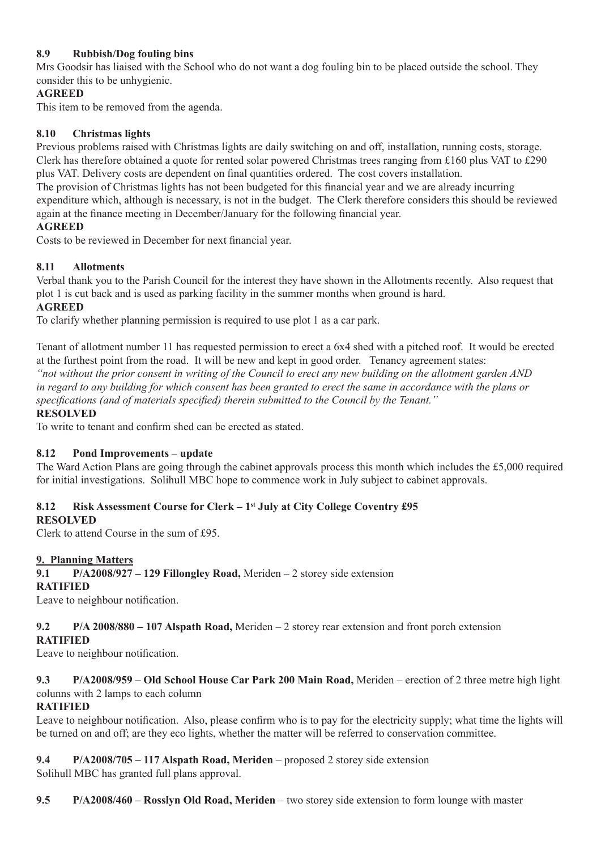# **8.9 Rubbish/Dog fouling bins**

Mrs Goodsir has liaised with the School who do not want a dog fouling bin to be placed outside the school. They consider this to be unhygienic.

# **AGREED**

This item to be removed from the agenda.

# **8.10 Christmas lights**

Previous problems raised with Christmas lights are daily switching on and off, installation, running costs, storage. Clerk has therefore obtained a quote for rented solar powered Christmas trees ranging from £160 plus VAT to £290 plus VAT. Delivery costs are dependent on final quantities ordered. The cost covers installation.

The provision of Christmas lights has not been budgeted for this financial year and we are already incurring expenditure which, although is necessary, is not in the budget. The Clerk therefore considers this should be reviewed again at the finance meeting in December/January for the following financial year.

#### **AGREED**

Costs to be reviewed in December for next financial year.

# **8.11 Allotments**

Verbal thank you to the Parish Council for the interest they have shown in the Allotments recently. Also request that plot 1 is cut back and is used as parking facility in the summer months when ground is hard.

# **AGREED**

To clarify whether planning permission is required to use plot 1 as a car park.

Tenant of allotment number 11 has requested permission to erect a 6x4 shed with a pitched roof. It would be erected at the furthest point from the road. It will be new and kept in good order. Tenancy agreement states:

*"not without the prior consent in writing of the Council to erect any new building on the allotment garden AND in regard to any building for which consent has been granted to erect the same in accordance with the plans or specifications (and of materials specified) therein submitted to the Council by the Tenant."*

#### **RESOLVED**

To write to tenant and confirm shed can be erected as stated.

#### **8.12 Pond Improvements – update**

The Ward Action Plans are going through the cabinet approvals process this month which includes the £5,000 required for initial investigations. Solihull MBC hope to commence work in July subject to cabinet approvals.

# **8.12 Risk Assessment Course for Clerk – 1st July at City College Coventry £95**

# **RESOLVED**

Clerk to attend Course in the sum of £95.

#### **9. Planning Matters**

**9.1 P/A2008/927 – 129 Fillongley Road,** Meriden – 2 storey side extension

#### **RATIFIED**

Leave to neighbour notification.

# **9.2 P/A 2008/880 – 107 Alspath Road,** Meriden – 2 storey rear extension and front porch extension

# **RATIFIED**

Leave to neighbour notification.

# **9.3 P/A2008/959 – Old School House Car Park 200 Main Road,** Meriden – erection of 2 three metre high light colunns with 2 lamps to each column

# **RATIFIED**

Leave to neighbour notification. Also, please confirm who is to pay for the electricity supply; what time the lights will be turned on and off; are they eco lights, whether the matter will be referred to conservation committee.

# **9.4 P/A2008/705 – 117 Alspath Road, Meriden** – proposed 2 storey side extension

Solihull MBC has granted full plans approval.

**9.5 P/A2008/460 – Rosslyn Old Road, Meriden** – two storey side extension to form lounge with master